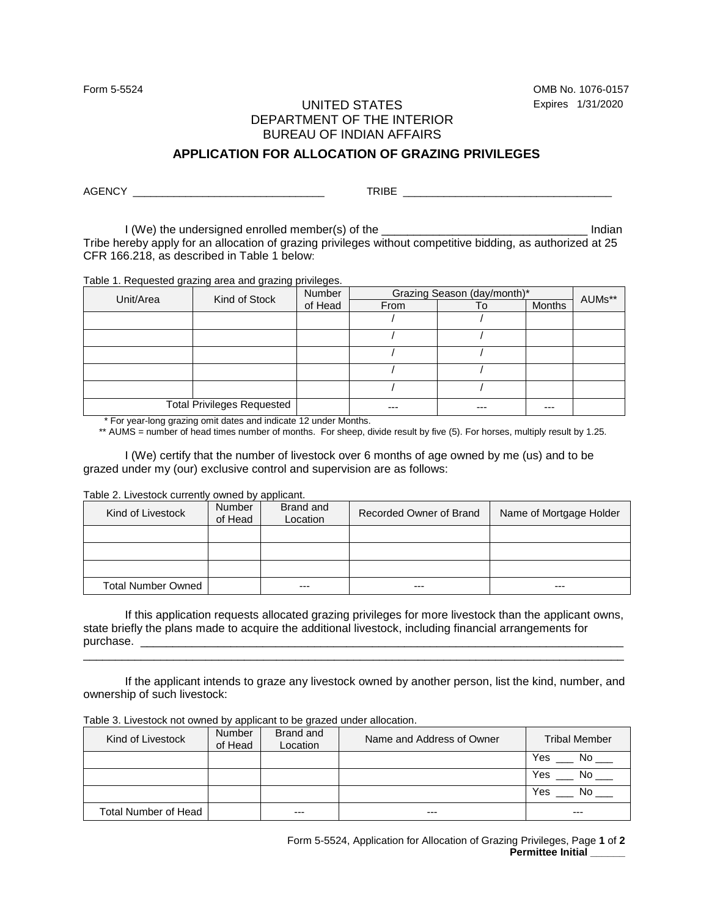Form 5-5524 OMB No. 1076-0157

## UNITED STATES Expires 1/31/2020 DEPARTMENT OF THE INTERIOR BUREAU OF INDIAN AFFAIRS

## **APPLICATION FOR ALLOCATION OF GRAZING PRIVILEGES**

AGENCY \_\_\_\_\_\_\_\_\_\_\_\_\_\_\_\_\_\_\_\_\_\_\_\_\_\_\_\_\_\_\_\_\_ TRIBE \_\_\_\_\_\_\_\_\_\_\_\_\_\_\_\_\_\_\_\_\_\_\_\_\_\_\_\_\_\_\_\_\_\_\_\_

I (We) the undersigned enrolled member(s) of the **EXACTE 1** and the local indian Tribe hereby apply for an allocation of grazing privileges without competitive bidding, as authorized at 25 CFR 166.218, as described in Table 1 below:

Table 1. Requested grazing area and grazing privileges.

| Unit/Area                         | Kind of Stock | <b>Number</b> | Grazing Season (day/month)* |     |        | AUMs** |
|-----------------------------------|---------------|---------------|-----------------------------|-----|--------|--------|
|                                   |               | of Head       | <b>From</b>                 | To  | Months |        |
|                                   |               |               |                             |     |        |        |
|                                   |               |               |                             |     |        |        |
|                                   |               |               |                             |     |        |        |
|                                   |               |               |                             |     |        |        |
|                                   |               |               |                             |     |        |        |
| <b>Total Privileges Requested</b> |               |               |                             | --- |        |        |

\* For year-long grazing omit dates and indicate 12 under Months.

\*\* AUMS = number of head times number of months. For sheep, divide result by five (5). For horses, multiply result by 1.25.

I (We) certify that the number of livestock over 6 months of age owned by me (us) and to be grazed under my (our) exclusive control and supervision are as follows:

Table 2. Livestock currently owned by applicant.

| Kind of Livestock         | <b>Number</b><br>of Head | Brand and<br>Location | Recorded Owner of Brand | Name of Mortgage Holder |
|---------------------------|--------------------------|-----------------------|-------------------------|-------------------------|
|                           |                          |                       |                         |                         |
|                           |                          |                       |                         |                         |
|                           |                          |                       |                         |                         |
| <b>Total Number Owned</b> |                          | $---$                 | ---                     | $---$                   |

If this application requests allocated grazing privileges for more livestock than the applicant owns, state briefly the plans made to acquire the additional livestock, including financial arrangements for purchase. \_\_\_\_\_\_\_\_\_\_\_\_\_\_\_\_\_\_\_\_\_\_\_\_\_\_\_\_\_\_\_\_\_\_\_\_\_\_\_\_\_\_\_\_\_\_\_\_\_\_\_\_\_\_\_\_\_\_\_\_\_\_\_\_\_\_\_\_\_\_\_\_\_\_\_

\_\_\_\_\_\_\_\_\_\_\_\_\_\_\_\_\_\_\_\_\_\_\_\_\_\_\_\_\_\_\_\_\_\_\_\_\_\_\_\_\_\_\_\_\_\_\_\_\_\_\_\_\_\_\_\_\_\_\_\_\_\_\_\_\_\_\_\_\_\_\_\_\_\_\_\_\_\_\_\_\_\_\_\_

If the applicant intends to graze any livestock owned by another person, list the kind, number, and ownership of such livestock:

| Kind of Livestock    | <b>Number</b><br>of Head | Brand and<br>Location | Name and Address of Owner | <b>Tribal Member</b> |
|----------------------|--------------------------|-----------------------|---------------------------|----------------------|
|                      |                          |                       |                           | Yes<br>No.           |
|                      |                          |                       |                           | Yes<br>No            |
|                      |                          |                       |                           | Yes<br>N٥            |
| Total Number of Head |                          | ---                   | $- - -$                   | $--$                 |

Table 3. Livestock not owned by applicant to be grazed under allocation.

Form 5-5524, Application for Allocation of Grazing Privileges, Page **1** of **2 Permittee Initial \_\_\_\_\_\_**